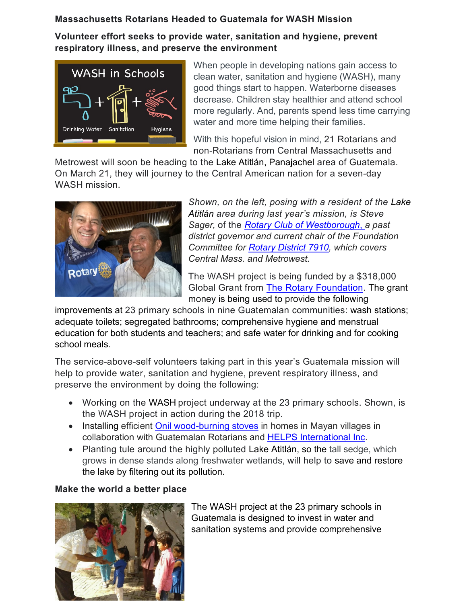# **Massachusetts Rotarians Headed to Guatemala for WASH Mission**

**Volunteer effort seeks to provide water, sanitation and hygiene, prevent respiratory illness, and preserve the environment**



When people in developing nations gain access to clean water, sanitation and hygiene (WASH), many good things start to happen. Waterborne diseases decrease. Children stay healthier and attend school more regularly. And, parents spend less time carrying water and more time helping their families.

With this hopeful vision in mind, 21 Rotarians and non-Rotarians from Central Massachusetts and

Metrowest will soon be heading to the Lake Atitlán, Panajachel area of Guatemala. On March 21, they will journey to the Central American nation for a seven-day WASH mission.



*Shown, on the left, posing with a resident of the Lake Atitlán area during last year's mission, is Steve Sager,* of the *[Rotary Club of Westborough](https://westboroughrotary.org/)*, *a past district governor and current chair of the Foundation Committee for [Rotary District 7910,](https://www.rotary7910.org/) which covers Central Mass. and Metrowest.*

The WASH project is being funded by a \$318,000 Global Grant from [The Rotary Foundation.](https://www.rotary.org/en/about-rotary/rotary-foundation) The grant money is being used to provide the following

improvements at 23 primary schools in nine Guatemalan communities: wash stations; adequate toilets; segregated bathrooms; comprehensive hygiene and menstrual education for both students and teachers; and safe water for drinking and for cooking school meals.

The service-above-self volunteers taking part in this year's Guatemala mission will help to provide water, sanitation and hygiene, prevent respiratory illness, and preserve the environment by doing the following:

- Working on the WASH project underway at the 23 primary schools. Shown, is the WASH project in action during the 2018 trip.
- Installing efficient [Onil wood-burning stoves](https://www.helpsintl.org/onil?gclid=CjwKCAiAy9jyBRA6EiwAeclQhJmkFi9HwywaXpyVSvqtvvysxqQigz9fvnJwxvoLc2D4QT58zWlbhhoCBZcQAvD_BwE) in homes in Mayan villages in collaboration with Guatemalan Rotarians and [HELPS International](https://www.helpsintl.org/) Inc.
- Planting tule around the highly polluted Lake Atitlán, so the tall sedge, which grows in dense stands along freshwater wetlands, will help to save and restore the lake by filtering out its pollution.

## **Make the world a better place**



The WASH project at the 23 primary schools in Guatemala is designed to invest in water and sanitation systems and provide comprehensive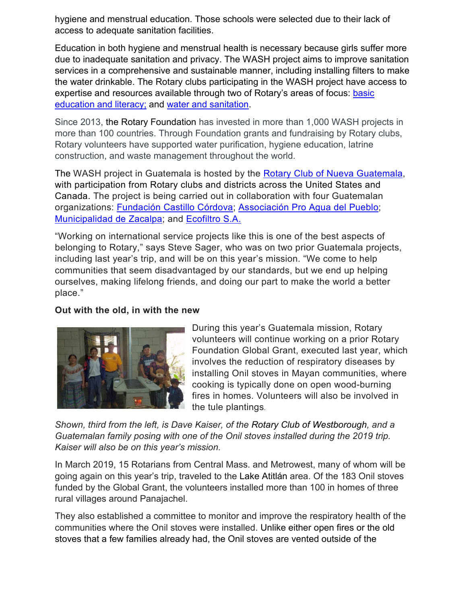hygiene and menstrual education. Those schools were selected due to their lack of access to adequate sanitation facilities.

Education in both hygiene and menstrual health is necessary because girls suffer more due to inadequate sanitation and privacy. The WASH project aims to improve sanitation services in a comprehensive and sustainable manner, including installing filters to make the water drinkable. The Rotary clubs participating in the WASH project have access to expertise and resources available through two of Rotary's areas of focus: [basic](https://my.rotary.org/en/learning-reference/about-rotary/basic-education-and-literacy)  [education and literacy;](https://my.rotary.org/en/learning-reference/about-rotary/basic-education-and-literacy) and [water and sanitation.](https://my.rotary.org/en/learning-reference/about-rotary/water-and-sanitation)

Since 2013, the Rotary Foundation has invested in more than 1,000 WASH projects in more than 100 countries. Through Foundation grants and fundraising by Rotary clubs, Rotary volunteers have supported water purification, hygiene education, latrine construction, and waste management throughout the world.

The WASH project in Guatemala is hosted by the [Rotary Club of Nueva](https://www.facebook.com/ClubRotarioNuevaGuatemala/) Guatemala, with participation from Rotary clubs and districts across the United States and Canada. The project is being carried out in collaboration with four Guatemalan organizations: [Fundación Castillo Córdova;](http://fundacioncastillocordova.org/) Associación [Pro Agua del Pueblo;](http://www.aguadelpueblo.org/) [Municipalidad de Zacalpa;](http://www.munizac.gob.gt/) and [Ecofiltro S.A.](https://www.ecofiltro.com/en)

"Working on international service projects like this is one of the best aspects of belonging to Rotary," says Steve Sager, who was on two prior Guatemala projects, including last year's trip, and will be on this year's mission. "We come to help communities that seem disadvantaged by our standards, but we end up helping ourselves, making lifelong friends, and doing our part to make the world a better place."

#### **Out with the old, in with the new**



During this year's Guatemala mission, Rotary volunteers will continue working on a prior Rotary Foundation Global Grant, executed last year, which involves the reduction of respiratory diseases by installing Onil stoves in Mayan communities, where cooking is typically done on open wood-burning fires in homes. Volunteers will also be involved in the tule plantings.

*Shown, third from the left, is Dave Kaiser, of the Rotary Club of Westborough, and a Guatemalan family posing with one of the Onil stoves installed during the 2019 trip. Kaiser will also be on this year's mission.*

In March 2019, 15 Rotarians from Central Mass. and Metrowest, many of whom will be going again on this year's trip, traveled to the Lake Atitlán area. Of the 183 Onil stoves funded by the Global Grant, the volunteers installed more than 100 in homes of three rural villages around Panajachel.

They also established a committee to monitor and improve the respiratory health of the communities where the Onil stoves were installed. Unlike either open fires or the old stoves that a few families already had, the Onil stoves are vented outside of the